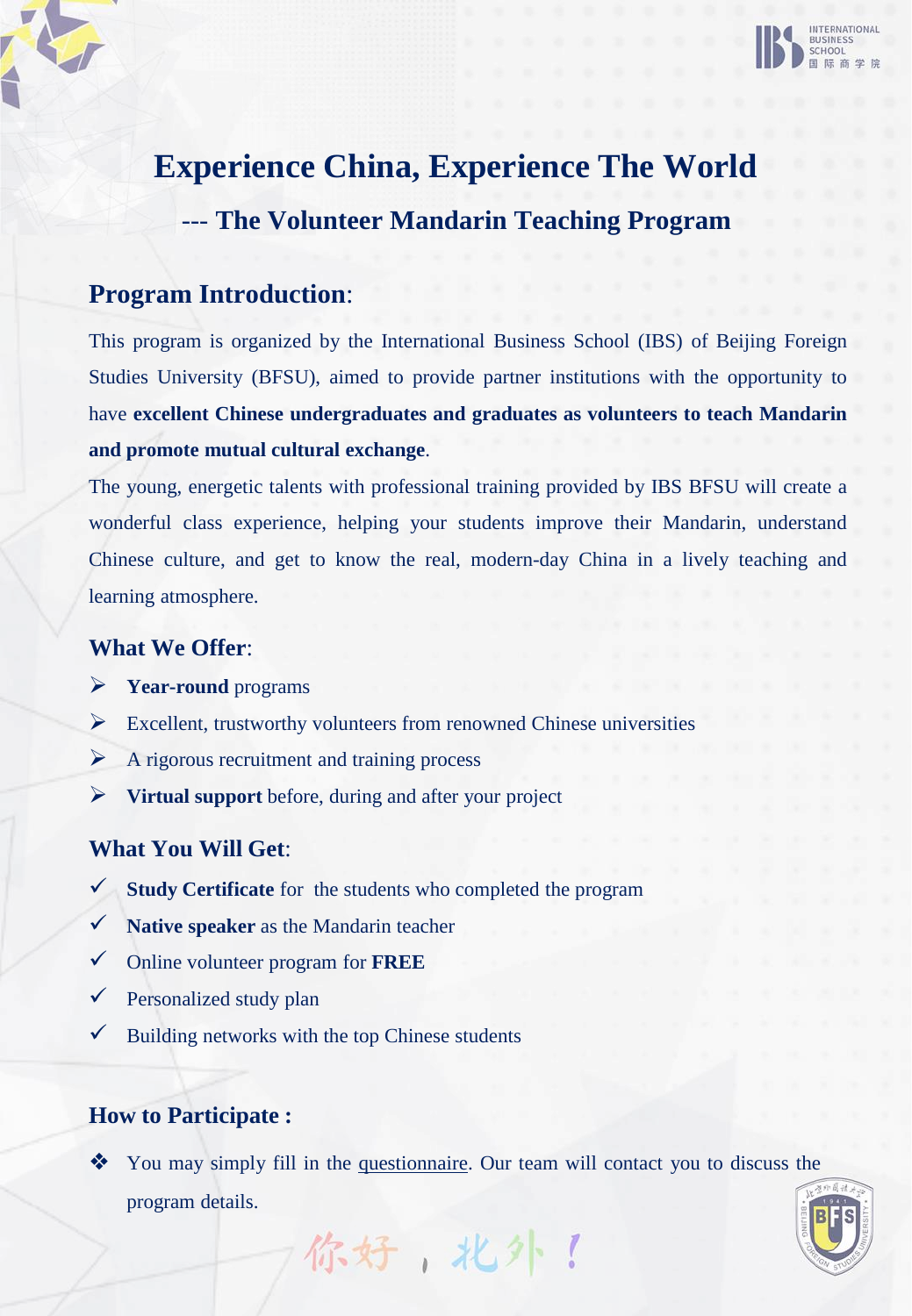

# **Experience China, Experience The World** --- **The Volunteer Mandarin Teaching Program**

# **Program Introduction**:

This program is organized by the International Business School (IBS) of Beijing Foreign Studies University (BFSU), aimed to provide partner institutions with the opportunity to have **excellent Chinese undergraduates and graduates as volunteers to teach Mandarin and promote mutual cultural exchange**.

The young, energetic talents with professional training provided by IBS BFSU will create a wonderful class experience, helping your students improve their Mandarin, understand Chinese culture, and get to know the real, modern-day China in a lively teaching and learning atmosphere.

## **What We Offer**:

- ➢ **Year-round** programs
- $\triangleright$  Excellent, trustworthy volunteers from renowned Chinese universities
- $\triangleright$  A rigorous recruitment and training process
- ➢ **Virtual support** before, during and after your project

## **What You Will Get**:

- ✓ **Study Certificate** for the students who completed the program
- ✓ **Native speaker** as the Mandarin teacher
- ✓ Online volunteer program for **FREE**
- $\checkmark$  Personalized study plan
- $\checkmark$  Building networks with the top Chinese students

# **How to Participate :**

❖ You may simply fill in the [questionnaire](https://www.wjx.cn/vj/mtOeWKc.aspx). Our team will contact you to discuss the program details.

你好,北外!